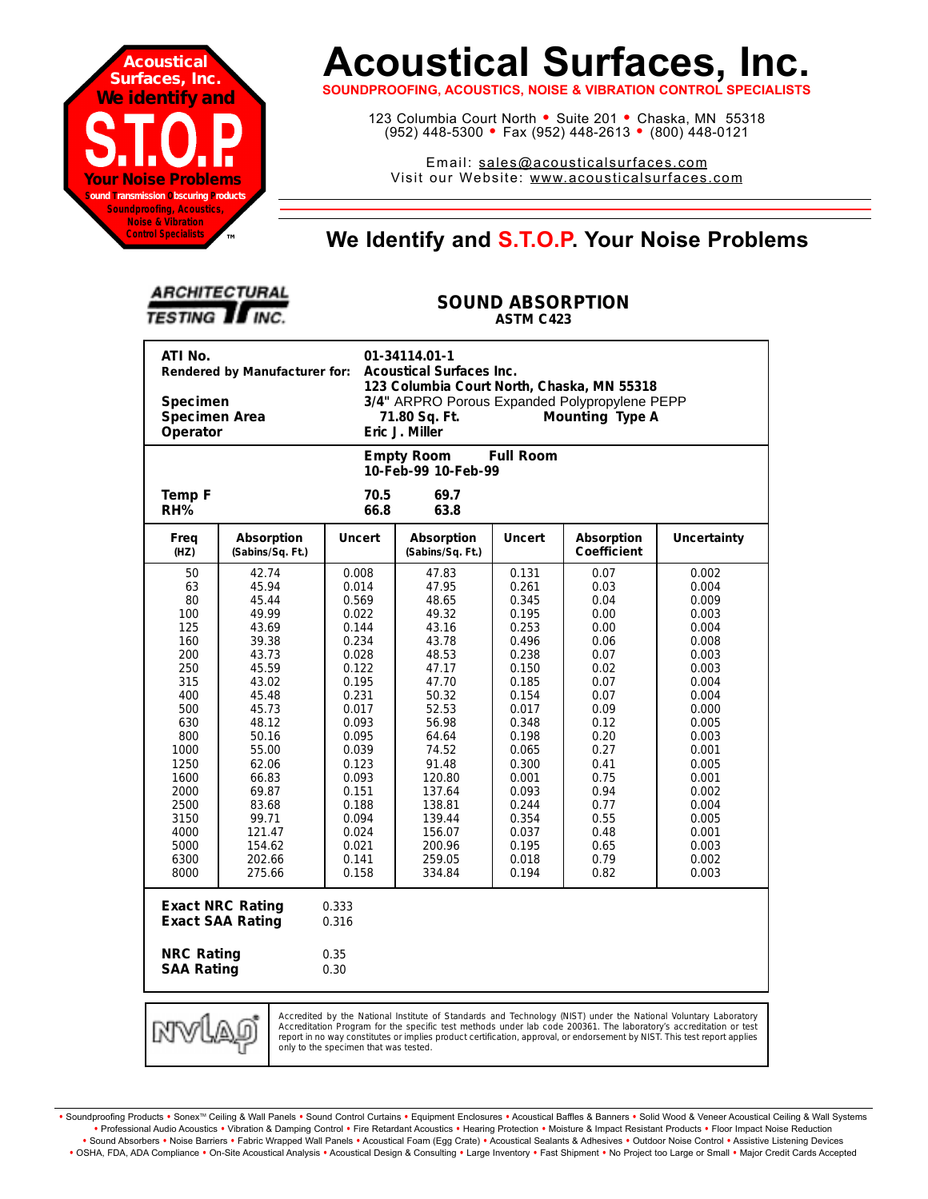

# **Acoustical Surfaces, Inc.**

**SOUNDPROOFING, ACOUSTICS, NOISE & VIBRATION CONTROL SPECIALISTS**

123 Columbia Court North · Suite 201 · Chaska, MN 55318 (952) 448-5300 <sup>=</sup> Fax (952) 448-2613 <sup>=</sup> (800) 448-0121

Email: sales@acousticalsurfaces.com Visit our Website: www.acousticalsurfaces.com

## **™ We Identify and S.T.O.P. Your Noise Problems**

| <b>ARCHITECTURAL</b>   |  |
|------------------------|--|
| <b>TESTING II INC.</b> |  |

#### **SOUND ABSORPTION ASTM C423**

| ATI No.<br>01-34114.01-1<br>Rendered by Manufacturer for:<br><b>Acoustical Surfaces Inc.</b><br>123 Columbia Court North, Chaska, MN 55318<br>Specimen<br>3/4" ARPRO Porous Expanded Polypropylene PEPP<br>Specimen Area<br>Mounting Type A<br>71.80 Sq. Ft.                                                                                                            |                                                                                                                                                                                                                 |                                                                                                                                                                                                             |                                                                                                                                                                                                                     |                                                                                                                                                                                                             |                                                                                                                                                                                      |                                                                                                                                                                                                             |  |  |
|-------------------------------------------------------------------------------------------------------------------------------------------------------------------------------------------------------------------------------------------------------------------------------------------------------------------------------------------------------------------------|-----------------------------------------------------------------------------------------------------------------------------------------------------------------------------------------------------------------|-------------------------------------------------------------------------------------------------------------------------------------------------------------------------------------------------------------|---------------------------------------------------------------------------------------------------------------------------------------------------------------------------------------------------------------------|-------------------------------------------------------------------------------------------------------------------------------------------------------------------------------------------------------------|--------------------------------------------------------------------------------------------------------------------------------------------------------------------------------------|-------------------------------------------------------------------------------------------------------------------------------------------------------------------------------------------------------------|--|--|
| Operator<br>Eric J. Miller<br><b>Full Room</b><br><b>Empty Room</b>                                                                                                                                                                                                                                                                                                     |                                                                                                                                                                                                                 |                                                                                                                                                                                                             |                                                                                                                                                                                                                     |                                                                                                                                                                                                             |                                                                                                                                                                                      |                                                                                                                                                                                                             |  |  |
| 10-Feb-99 10-Feb-99                                                                                                                                                                                                                                                                                                                                                     |                                                                                                                                                                                                                 |                                                                                                                                                                                                             |                                                                                                                                                                                                                     |                                                                                                                                                                                                             |                                                                                                                                                                                      |                                                                                                                                                                                                             |  |  |
| <b>Temp F</b><br>RH%                                                                                                                                                                                                                                                                                                                                                    |                                                                                                                                                                                                                 | 70.5<br>66.8                                                                                                                                                                                                | 69.7<br>63.8                                                                                                                                                                                                        |                                                                                                                                                                                                             |                                                                                                                                                                                      |                                                                                                                                                                                                             |  |  |
| Freq<br>(HZ)                                                                                                                                                                                                                                                                                                                                                            | Absorption<br>(Sabins/Sq. Ft.)                                                                                                                                                                                  | <b>Uncert</b>                                                                                                                                                                                               | <b>Absorption</b><br>(Sabins/Sq. Ft.)                                                                                                                                                                               | <b>Uncert</b>                                                                                                                                                                                               | Absorption<br>Coefficient                                                                                                                                                            | Uncertainty                                                                                                                                                                                                 |  |  |
| 50<br>63<br>80<br>100<br>125<br>160<br>200<br>250<br>315<br>400<br>500<br>630<br>800<br>1000<br>1250<br>1600<br>2000<br>2500<br>3150<br>4000<br>5000<br>6300<br>8000                                                                                                                                                                                                    | 42.74<br>45.94<br>45.44<br>49.99<br>43.69<br>39.38<br>43.73<br>45.59<br>43.02<br>45.48<br>45.73<br>48.12<br>50.16<br>55.00<br>62.06<br>66.83<br>69.87<br>83.68<br>99.71<br>121.47<br>154.62<br>202.66<br>275.66 | 0.008<br>0.014<br>0.569<br>0.022<br>0.144<br>0.234<br>0.028<br>0.122<br>0.195<br>0.231<br>0.017<br>0.093<br>0.095<br>0.039<br>0.123<br>0.093<br>0.151<br>0.188<br>0.094<br>0.024<br>0.021<br>0.141<br>0.158 | 47.83<br>47.95<br>48.65<br>49.32<br>43.16<br>43.78<br>48.53<br>47.17<br>47.70<br>50.32<br>52.53<br>56.98<br>64.64<br>74.52<br>91.48<br>120.80<br>137.64<br>138.81<br>139.44<br>156.07<br>200.96<br>259.05<br>334.84 | 0.131<br>0.261<br>0.345<br>0.195<br>0.253<br>0.496<br>0.238<br>0.150<br>0.185<br>0.154<br>0.017<br>0.348<br>0.198<br>0.065<br>0.300<br>0.001<br>0.093<br>0.244<br>0.354<br>0.037<br>0.195<br>0.018<br>0.194 | 0.07<br>0.03<br>0.04<br>0.00<br>0.00<br>0.06<br>0.07<br>0.02<br>0.07<br>0.07<br>0.09<br>0.12<br>0.20<br>0.27<br>0.41<br>0.75<br>0.94<br>0.77<br>0.55<br>0.48<br>0.65<br>0.79<br>0.82 | 0.002<br>0.004<br>0.009<br>0.003<br>0.004<br>0.008<br>0.003<br>0.003<br>0.004<br>0.004<br>0.000<br>0.005<br>0.003<br>0.001<br>0.005<br>0.001<br>0.002<br>0.004<br>0.005<br>0.001<br>0.003<br>0.002<br>0.003 |  |  |
| <b>Exact NRC Rating</b><br>0.333<br><b>Exact SAA Rating</b><br>0.316<br><b>NRC Rating</b><br>0.35                                                                                                                                                                                                                                                                       |                                                                                                                                                                                                                 |                                                                                                                                                                                                             |                                                                                                                                                                                                                     |                                                                                                                                                                                                             |                                                                                                                                                                                      |                                                                                                                                                                                                             |  |  |
| <b>SAA Rating</b><br>0.30                                                                                                                                                                                                                                                                                                                                               |                                                                                                                                                                                                                 |                                                                                                                                                                                                             |                                                                                                                                                                                                                     |                                                                                                                                                                                                             |                                                                                                                                                                                      |                                                                                                                                                                                                             |  |  |
| Accredited by the National Institute of Standards and Technology (NIST) under the National Voluntary Laboratory<br>Accreditation Program for the specific test methods under lab code 200361. The laboratory's accreditation or test<br>MW<br>report in no way constitutes or implies product certification, approval, or endorsement by NIST. This test report applies |                                                                                                                                                                                                                 |                                                                                                                                                                                                             |                                                                                                                                                                                                                     |                                                                                                                                                                                                             |                                                                                                                                                                                      |                                                                                                                                                                                                             |  |  |

Soundproofing Products . Sonex<sup>TM</sup> Ceiling & Wall Panels . Sound Control Curtains . Equipment Enclosures . Acoustical Baffles & Banners . Solid Wood & Veneer Acoustical Ceiling & Wall Systems **•** Professional Audio Acoustics **•** Vibration & Damping Control **•** Fire Retardant Acoustics **•** Hearing Protection **•** Moisture & Impact Resistant Products **•** Floor Impact Noise Reduction · Sound Absorbers · Noise Barriers · Fabric Wrapped Wall Panels · Acoustical Foam (Egg Crate) · Acoustical Sealants & Adhesives · Outdoor Noise Control · Assistive Listening Devices . OSHA, FDA, ADA Compliance . On-Site Acoustical Analysis . Acoustical Design & Consulting . Large Inventory . Fast Shipment . No Project too Large or Small . Major Credit Cards Accepted

only to the specimen that was tested.